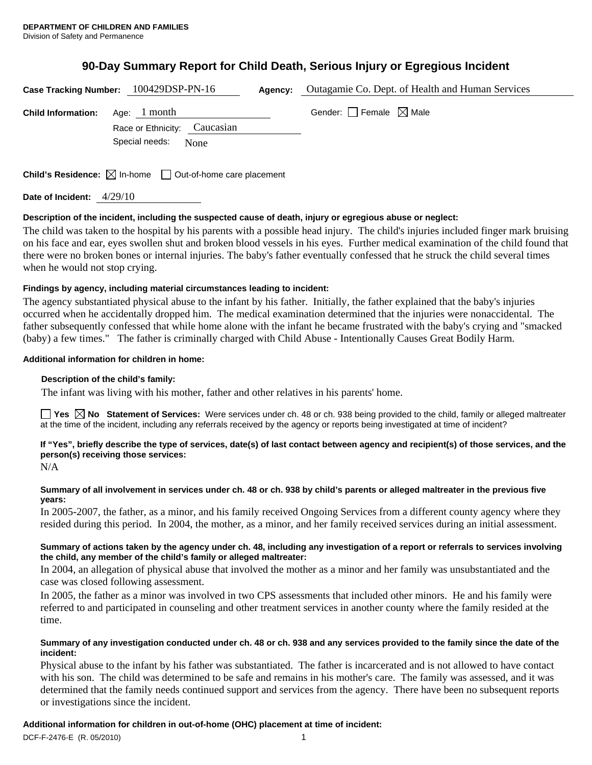# **90-Day Summary Report for Child Death, Serious Injury or Egregious Incident**

|                           | Case Tracking Number: 100429DSP-PN-16                                           | Agency: | Outagamie Co. Dept. of Health and Human Services |
|---------------------------|---------------------------------------------------------------------------------|---------|--------------------------------------------------|
| <b>Child Information:</b> | Age: 1 month                                                                    |         | Gender: $\Box$ Female $\boxtimes$ Male           |
|                           | Race or Ethnicity: Caucasian<br>Special needs:<br>None                          |         |                                                  |
|                           | <b>Child's Residence:</b> $\boxtimes$ In-home $\Box$ Out-of-home care placement |         |                                                  |

**Date of Incident:** 4/29/10

## **Description of the incident, including the suspected cause of death, injury or egregious abuse or neglect:**

The child was taken to the hospital by his parents with a possible head injury. The child's injuries included finger mark bruising on his face and ear, eyes swollen shut and broken blood vessels in his eyes. Further medical examination of the child found that there were no broken bones or internal injuries. The baby's father eventually confessed that he struck the child several times when he would not stop crying.

## **Findings by agency, including material circumstances leading to incident:**

The agency substantiated physical abuse to the infant by his father. Initially, the father explained that the baby's injuries occurred when he accidentally dropped him. The medical examination determined that the injuries were nonaccidental. The father subsequently confessed that while home alone with the infant he became frustrated with the baby's crying and "smacked (baby) a few times." The father is criminally charged with Child Abuse - Intentionally Causes Great Bodily Harm.

## **Additional information for children in home:**

## **Description of the child's family:**

The infant was living with his mother, father and other relatives in his parents' home.

■ Yes **No** Statement of Services: Were services under ch. 48 or ch. 938 being provided to the child, family or alleged maltreater at the time of the incident, including any referrals received by the agency or reports being investigated at time of incident?

**If "Yes", briefly describe the type of services, date(s) of last contact between agency and recipient(s) of those services, and the person(s) receiving those services:** 

N/A

### **Summary of all involvement in services under ch. 48 or ch. 938 by child's parents or alleged maltreater in the previous five years:**

In 2005-2007, the father, as a minor, and his family received Ongoing Services from a different county agency where they resided during this period. In 2004, the mother, as a minor, and her family received services during an initial assessment.

### **Summary of actions taken by the agency under ch. 48, including any investigation of a report or referrals to services involving the child, any member of the child's family or alleged maltreater:**

In 2004, an allegation of physical abuse that involved the mother as a minor and her family was unsubstantiated and the case was closed following assessment.

In 2005, the father as a minor was involved in two CPS assessments that included other minors. He and his family were referred to and participated in counseling and other treatment services in another county where the family resided at the time.

### **Summary of any investigation conducted under ch. 48 or ch. 938 and any services provided to the family since the date of the incident:**

Physical abuse to the infant by his father was substantiated. The father is incarcerated and is not allowed to have contact with his son. The child was determined to be safe and remains in his mother's care. The family was assessed, and it was determined that the family needs continued support and services from the agency. There have been no subsequent reports or investigations since the incident.

## **Additional information for children in out-of-home (OHC) placement at time of incident:**

DCF-F-2476-E (R. 05/2010) 1